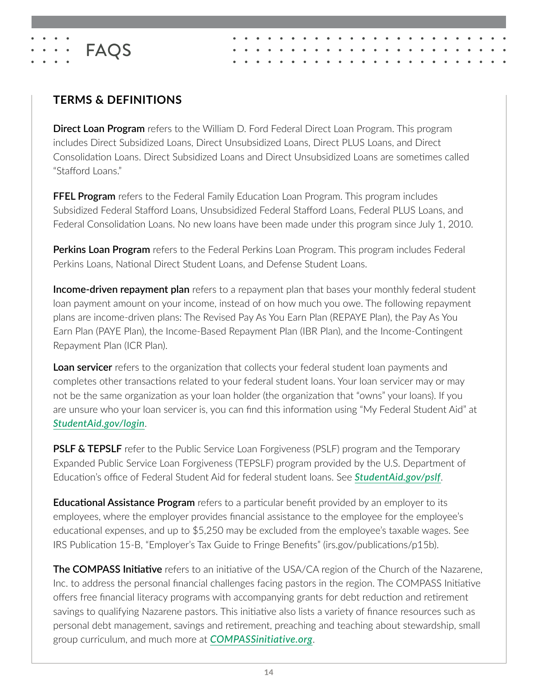

# **TERMS & DEFINITIONS**

**Direct Loan Program** refers to the William D. Ford Federal Direct Loan Program. This program includes Direct Subsidized Loans, Direct Unsubsidized Loans, Direct PLUS Loans, and Direct Consolidation Loans. Direct Subsidized Loans and Direct Unsubsidized Loans are sometimes called "Stafford Loans."

**FFEL Program** refers to the Federal Family Education Loan Program. This program includes Subsidized Federal Stafford Loans, Unsubsidized Federal Stafford Loans, Federal PLUS Loans, and Federal Consolidation Loans. No new loans have been made under this program since July 1, 2010.

**Perkins Loan Program** refers to the Federal Perkins Loan Program. This program includes Federal Perkins Loans, National Direct Student Loans, and Defense Student Loans.

**Income-driven repayment plan** refers to a repayment plan that bases your monthly federal student loan payment amount on your income, instead of on how much you owe. The following repayment plans are income-driven plans: The Revised Pay As You Earn Plan (REPAYE Plan), the Pay As You Earn Plan (PAYE Plan), the Income-Based Repayment Plan (IBR Plan), and the Income-Contingent Repayment Plan (ICR Plan).

**Loan servicer** refers to the organization that collects your federal student loan payments and completes other transactions related to your federal student loans. Your loan servicer may or may not be the same organization as your loan holder (the organization that "owns" your loans). If you are unsure who your loan servicer is, you can find this information using "My Federal Student Aid" at *[StudentAid.gov/login](https://studentaid.gov/fsa-id/sign-in/landing)*.

**PSLF & TEPSLF** refer to the Public Service Loan Forgiveness (PSLF) program and the Temporary Expanded Public Service Loan Forgiveness (TEPSLF) program provided by the U.S. Department of Education's office of Federal Student Aid for federal student loans. See *[StudentAid.gov/pslf](http://www.StudentAid.gov/pslf)*.

**Educational Assistance Program** refers to a particular benefit provided by an employer to its employees, where the employer provides financial assistance to the employee for the employee's educational expenses, and up to \$5,250 may be excluded from the employee's taxable wages. See IRS Publication 15-B, "Employer's Tax Guide to Fringe Benefits" (irs.gov/publications/p15b).

**The COMPASS Initiative** refers to an initiative of the USA/CA region of the Church of the Nazarene, Inc. to address the personal financial challenges facing pastors in the region. The COMPASS Initiative offers free financial literacy programs with accompanying grants for debt reduction and retirement savings to qualifying Nazarene pastors. This initiative also lists a variety of finance resources such as personal debt management, savings and retirement, preaching and teaching about stewardship, small group curriculum, and much more at *[COMPASSinitiative.org](http://compassinitiative.org)*.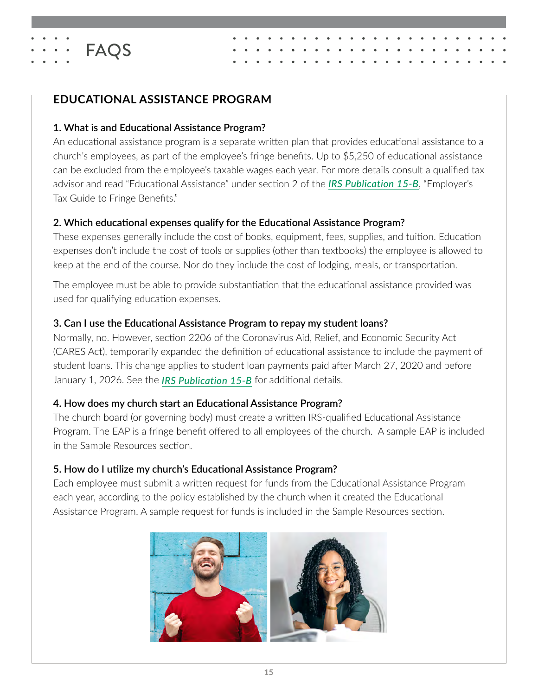

**FAQS** 

#### **1. What is and Educational Assistance Program?**

An educational assistance program is a separate written plan that provides educational assistance to a church's employees, as part of the employee's fringe benefits. Up to \$5,250 of educational assistance can be excluded from the employee's taxable wages each year. For more details consult a qualified tax advisor and read "Educational Assistance" under section 2 of the *[IRS Publication 15-B](https://www.irs.gov/pub/irs-pdf/p15b.pdf)*, "Employer's Tax Guide to Fringe Benefits."

#### **2. Which educational expenses qualify for the Educational Assistance Program?**

These expenses generally include the cost of books, equipment, fees, supplies, and tuition. Education expenses don't include the cost of tools or supplies (other than textbooks) the employee is allowed to keep at the end of the course. Nor do they include the cost of lodging, meals, or transportation.

The employee must be able to provide substantiation that the educational assistance provided was used for qualifying education expenses.

#### **3. Can I use the Educational Assistance Program to repay my student loans?**

Normally, no. However, section 2206 of the Coronavirus Aid, Relief, and Economic Security Act (CARES Act), temporarily expanded the definition of educational assistance to include the payment of student loans. This change applies to student loan payments paid after March 27, 2020 and before January 1, 2026. See the *[IRS Publication 15-B](https://www.irs.gov/pub/irs-pdf/p15b.pdf)* for additional details.

#### **4. How does my church start an Educational Assistance Program?**

The church board (or governing body) must create a written IRS-qualified Educational Assistance Program. The EAP is a fringe benefit offered to all employees of the church. A sample EAP is included in the Sample Resources section.

#### **5. How do I utilize my church's Educational Assistance Program?**

Each employee must submit a written request for funds from the Educational Assistance Program each year, according to the policy established by the church when it created the Educational Assistance Program. A sample request for funds is included in the Sample Resources section.

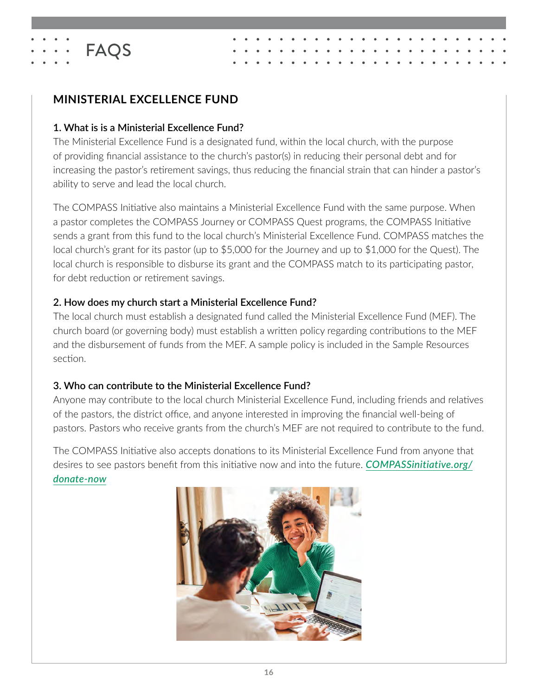# **MINISTERIAL EXCELLENCE FUND**

**FAQS** 

#### **1. What is is a Ministerial Excellence Fund?**

The Ministerial Excellence Fund is a designated fund, within the local church, with the purpose of providing financial assistance to the church's pastor(s) in reducing their personal debt and for increasing the pastor's retirement savings, thus reducing the financial strain that can hinder a pastor's ability to serve and lead the local church.

The COMPASS Initiative also maintains a Ministerial Excellence Fund with the same purpose. When a pastor completes the COMPASS Journey or COMPASS Quest programs, the COMPASS Initiative sends a grant from this fund to the local church's Ministerial Excellence Fund. COMPASS matches the local church's grant for its pastor (up to \$5,000 for the Journey and up to \$1,000 for the Quest). The local church is responsible to disburse its grant and the COMPASS match to its participating pastor, for debt reduction or retirement savings.

#### **2. How does my church start a Ministerial Excellence Fund?**

The local church must establish a designated fund called the Ministerial Excellence Fund (MEF). The church board (or governing body) must establish a written policy regarding contributions to the MEF and the disbursement of funds from the MEF. A sample policy is included in the Sample Resources section.

#### **3. Who can contribute to the Ministerial Excellence Fund?**

Anyone may contribute to the local church Ministerial Excellence Fund, including friends and relatives of the pastors, the district office, and anyone interested in improving the financial well-being of pastors. Pastors who receive grants from the church's MEF are not required to contribute to the fund.

The COMPASS Initiative also accepts donations to its Ministerial Excellence Fund from anyone that desires to see pastors benefit from this initiative now and into the future. *[COMPASSinitiative.org/](https://compassinitiative.org/donate-now) [donate-now](https://compassinitiative.org/donate-now)*

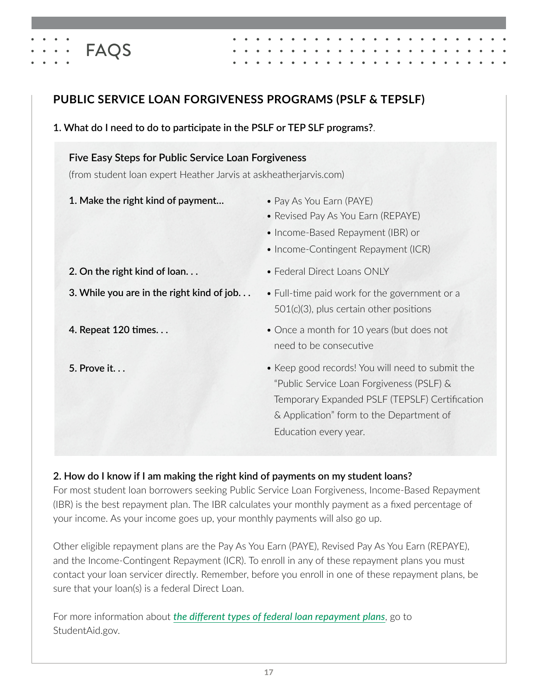

#### **1. What do I need to do to participate in the PSLF or TEP SLF programs?**.

#### **Five Easy Steps for Public Service Loan Forgiveness**

(from student loan expert Heather Jarvis at askheatherjarvis.com)

**1. Make the right kind of payment…**

FAQS

• Pay As You Earn (PAYE)

• Federal Direct Loans ONLY

- Revised Pay As You Earn (REPAYE)
- Income-Based Repayment (IBR) or
- Income-Contingent Repayment (ICR)
- **2. On the right kind of loan. . .**
- **3. While you are in the right kind of job. . .**
- **4. Repeat 120 times. . .**
- **5. Prove it. . .**
- Full-time paid work for the government or a 501(c)(3), plus certain other positions
- Once a month for 10 years (but does not need to be consecutive
- Keep good records! You will need to submit the "Public Service Loan Forgiveness (PSLF) & Temporary Expanded PSLF (TEPSLF) Certification & Application" form to the Department of Education every year.

#### **2. How do I know if I am making the right kind of payments on my student loans?**

For most student loan borrowers seeking Public Service Loan Forgiveness, Income-Based Repayment (IBR) is the best repayment plan. The IBR calculates your monthly payment as a fixed percentage of your income. As your income goes up, your monthly payments will also go up.

Other eligible repayment plans are the Pay As You Earn (PAYE), Revised Pay As You Earn (REPAYE), and the Income-Contingent Repayment (ICR). To enroll in any of these repayment plans you must contact your loan servicer directly. Remember, before you enroll in one of these repayment plans, be sure that your loan(s) is a federal Direct Loan.

For more information about *[the different types of federal loan repayment plans](http://studentaid.gov/manage-loans/repayment/plans)*, go to StudentAid.gov.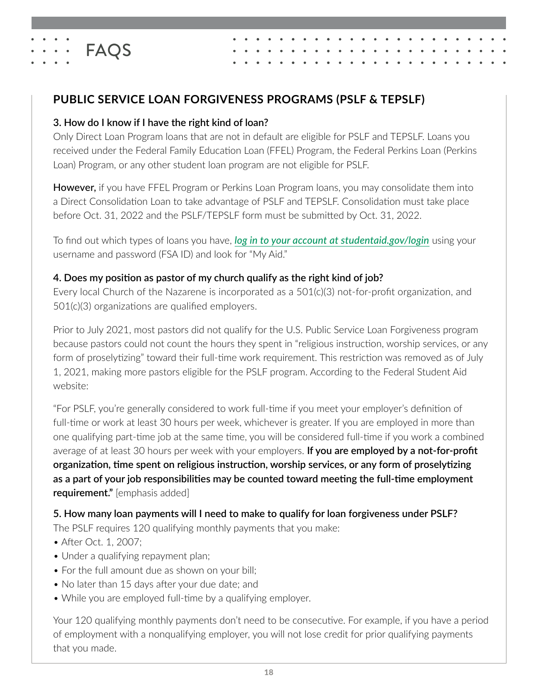# **PUBLIC SERVICE LOAN FORGIVENESS PROGRAMS (PSLF & TEPSLF)**

#### **3. How do I know if I have the right kind of loan?**

**FAQS** 

Only Direct Loan Program loans that are not in default are eligible for PSLF and TEPSLF. Loans you received under the Federal Family Education Loan (FFEL) Program, the Federal Perkins Loan (Perkins Loan) Program, or any other student loan program are not eligible for PSLF.

However, if you have FFEL Program or Perkins Loan Program loans, you may consolidate them into a Direct Consolidation Loan to take advantage of PSLF and TEPSLF. Consolidation must take place before Oct. 31, 2022 and the PSLF/TEPSLF form must be submitted by Oct. 31, 2022.

To find out which types of loans you have, *[log in to your account at studentaid.gov/login](http://www.studentaid.gov/login)* using your username and password (FSA ID) and look for "My Aid."

### **4. Does my position as pastor of my church qualify as the right kind of job?**

Every local Church of the Nazarene is incorporated as a 501(c)(3) not-for-profit organization, and 501(c)(3) organizations are qualified employers.

Prior to July 2021, most pastors did not qualify for the U.S. Public Service Loan Forgiveness program because pastors could not count the hours they spent in "religious instruction, worship services, or any form of proselytizing" toward their full-time work requirement. This restriction was removed as of July 1, 2021, making more pastors eligible for the PSLF program. According to the Federal Student Aid website:

"For PSLF, you're generally considered to work full-time if you meet your employer's definition of full-time or work at least 30 hours per week, whichever is greater. If you are employed in more than one qualifying part-time job at the same time, you will be considered full-time if you work a combined average of at least 30 hours per week with your employers. **If you are employed by a not-for-profit organization, time spent on religious instruction, worship services, or any form of proselytizing as a part of your job responsibilities may be counted toward meeting the full-time employment requirement."** [emphasis added]

**5. How many loan payments will I need to make to qualify for loan forgiveness under PSLF?**

The PSLF requires 120 qualifying monthly payments that you make:

- After Oct. 1, 2007;
- Under a qualifying repayment plan;
- For the full amount due as shown on your bill;
- No later than 15 days after your due date; and
- While you are employed full-time by a qualifying employer.

Your 120 qualifying monthly payments don't need to be consecutive. For example, if you have a period of employment with a nonqualifying employer, you will not lose credit for prior qualifying payments that you made.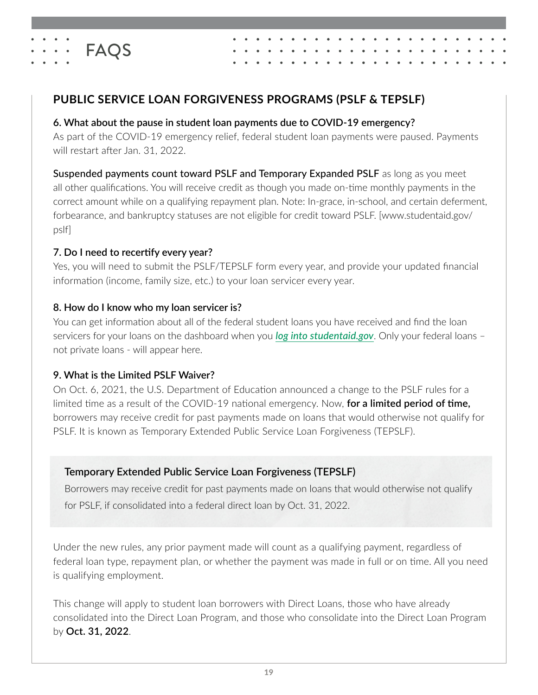

# **PUBLIC SERVICE LOAN FORGIVENESS PROGRAMS (PSLF & TEPSLF)**

#### **6. What about the pause in student loan payments due to COVID-19 emergency?**

As part of the COVID-19 emergency relief, federal student loan payments were paused. Payments will restart after Jan. 31, 2022.

Suspended payments count toward PSLF and Temporary Expanded PSLF as long as you meet all other qualifications. You will receive credit as though you made on-time monthly payments in the correct amount while on a qualifying repayment plan. Note: In-grace, in-school, and certain deferment, forbearance, and bankruptcy statuses are not eligible for credit toward PSLF. [www.studentaid.gov/ pslf]

#### **7. Do I need to recertify every year?**

Yes, you will need to submit the PSLF/TEPSLF form every year, and provide your updated financial information (income, family size, etc.) to your loan servicer every year.

### **8. How do I know who my loan servicer is?**

You can get information about all of the federal student loans you have received and find the loan servicers for your loans on the dashboard when you *[log into studentaid.gov](http://www.studentaid.gov)*. Only your federal loans – not private loans - will appear here.

#### **9. What is the Limited PSLF Waiver?**

On Oct. 6, 2021, the U.S. Department of Education announced a change to the PSLF rules for a limited time as a result of the COVID-19 national emergency. Now, **for a limited period of time,** borrowers may receive credit for past payments made on loans that would otherwise not qualify for PSLF. It is known as Temporary Extended Public Service Loan Forgiveness (TEPSLF).

## **Temporary Extended Public Service Loan Forgiveness (TEPSLF)**

Borrowers may receive credit for past payments made on loans that would otherwise not qualify for PSLF, if consolidated into a federal direct loan by Oct. 31, 2022.

Under the new rules, any prior payment made will count as a qualifying payment, regardless of federal loan type, repayment plan, or whether the payment was made in full or on time. All you need is qualifying employment.

This change will apply to student loan borrowers with Direct Loans, those who have already consolidated into the Direct Loan Program, and those who consolidate into the Direct Loan Program by **Oct. 31, 2022**.